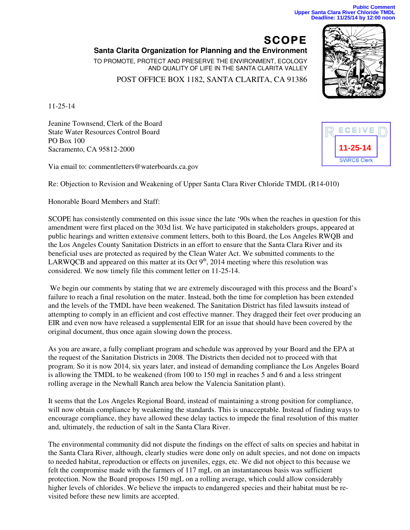**SCOPE Santa Clarita Organization for Planning and the Environment**  TO PROMOTE, PROTECT AND PRESERVE THE ENVIRONMENT, ECOLOGY AND QUALITY OF LIFE IN THE SANTA CLARITA VALLEY POST OFFICE BOX 1182, SANTA CLARITA, CA 91386

11-25-14

Jeanine Townsend, Clerk of the Board State Water Resources Control Board PO Box 100 Sacramento, CA 95812-2000

Via email to: commentletters@waterboards.ca.gov

Re: Objection to Revision and Weakening of Upper Santa Clara River Chloride TMDL (R14-010)

Honorable Board Members and Staff:

SCOPE has consistently commented on this issue since the late '90s when the reaches in question for this amendment were first placed on the 303d list. We have participated in stakeholders groups, appeared at public hearings and written extensive comment letters, both to this Board, the Los Angeles RWQB and the Los Angeles County Sanitation Districts in an effort to ensure that the Santa Clara River and its beneficial uses are protected as required by the Clean Water Act. We submitted comments to the LARWQCB and appeared on this matter at its Oct  $9<sup>th</sup>$ , 2014 meeting where this resolution was considered. We now timely file this comment letter on 11-25-14.

We begin our comments by stating that we are extremely discouraged with this process and the Board's failure to reach a final resolution on the mater. Instead, both the time for completion has been extended and the levels of the TMDL have been weakened. The Sanitation District has filed lawsuits instead of attempting to comply in an efficient and cost effective manner. They dragged their feet over producing an EIR and even now have released a supplemental EIR for an issue that should have been covered by the original document, thus once again slowing down the process.

As you are aware, a fully compliant program and schedule was approved by your Board and the EPA at the request of the Sanitation Districts in 2008. The Districts then decided not to proceed with that program. So it is now 2014, six years later, and instead of demanding compliance the Los Angeles Board is allowing the TMDL to be weakened (from 100 to 150 mgl in reaches 5 and 6 and a less stringent rolling average in the Newhall Ranch area below the Valencia Sanitation plant).

It seems that the Los Angeles Regional Board, instead of maintaining a strong position for compliance, will now obtain compliance by weakening the standards. This is unacceptable. Instead of finding ways to encourage compliance, they have allowed these delay tactics to impede the final resolution of this matter and, ultimately, the reduction of salt in the Santa Clara River.

The environmental community did not dispute the findings on the effect of salts on species and habitat in the Santa Clara River, although, clearly studies were done only on adult species, and not done on impacts to needed habitat, reproduction or effects on juveniles, eggs, etc. We did not object to this because we felt the compromise made with the farmers of 117 mgL on an instantaneous basis was sufficient protection. Now the Board proposes 150 mgL on a rolling average, which could allow considerably higher levels of chlorides. We believe the impacts to endangered species and their habitat must be revisited before these new limits are accepted.